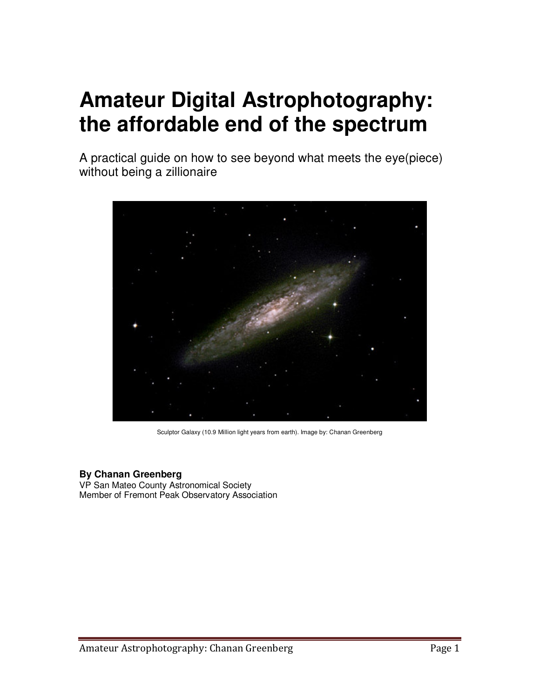# **Amateur Digital Astrophotography: the affordable end of the spectrum**

A practical guide on how to see beyond what meets the eye(piece) without being a zillionaire



Sculptor Galaxy (10.9 Million light years from earth). Image by: Chanan Greenberg

# **By Chanan Greenberg**

VP San Mateo County Astronomical Society Member of Fremont Peak Observatory Association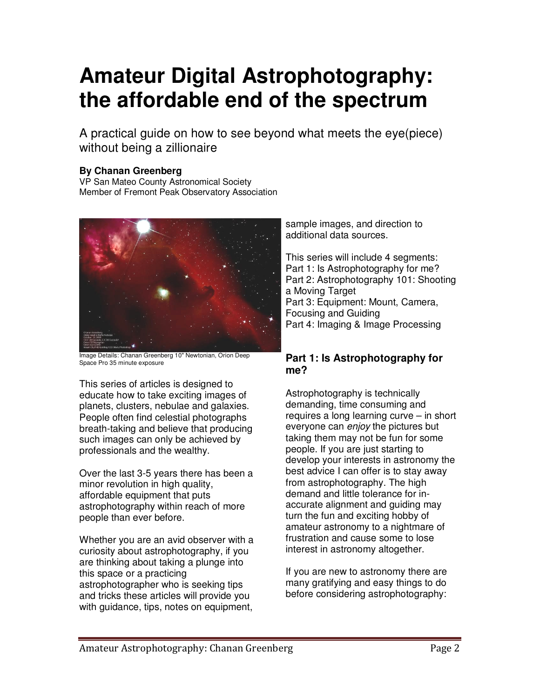# **Amateur Digital Astrophotography: the affordable end of the spectrum**

A practical guide on how to see beyond what meets the eye(piece) without being a zillionaire

# **By Chanan Greenberg**

VP San Mateo County Astronomical Society Member of Fremont Peak Observatory Association



Image Details: Chanan Greenberg 10" Newtonian, Orion Deep Space Pro 35 minute exposure

This series of articles is designed to educate how to take exciting images of planets, clusters, nebulae and galaxies. People often find celestial photographs breath-taking and believe that producing such images can only be achieved by professionals and the wealthy.

Over the last 3-5 years there has been a minor revolution in high quality, affordable equipment that puts astrophotography within reach of more people than ever before.

Whether you are an avid observer with a curiosity about astrophotography, if you are thinking about taking a plunge into this space or a practicing astrophotographer who is seeking tips and tricks these articles will provide you with guidance, tips, notes on equipment,

sample images, and direction to additional data sources.

This series will include 4 segments: Part 1: Is Astrophotography for me? Part 2: Astrophotography 101: Shooting a Moving Target Part 3: Equipment: Mount, Camera, Focusing and Guiding Part 4: Imaging & Image Processing

# **Part 1: Is Astrophotography for me?**

Astrophotography is technically demanding, time consuming and requires a long learning curve – in short everyone can enjoy the pictures but taking them may not be fun for some people. If you are just starting to develop your interests in astronomy the best advice I can offer is to stay away from astrophotography. The high demand and little tolerance for inaccurate alignment and guiding may turn the fun and exciting hobby of amateur astronomy to a nightmare of frustration and cause some to lose interest in astronomy altogether.

If you are new to astronomy there are many gratifying and easy things to do before considering astrophotography: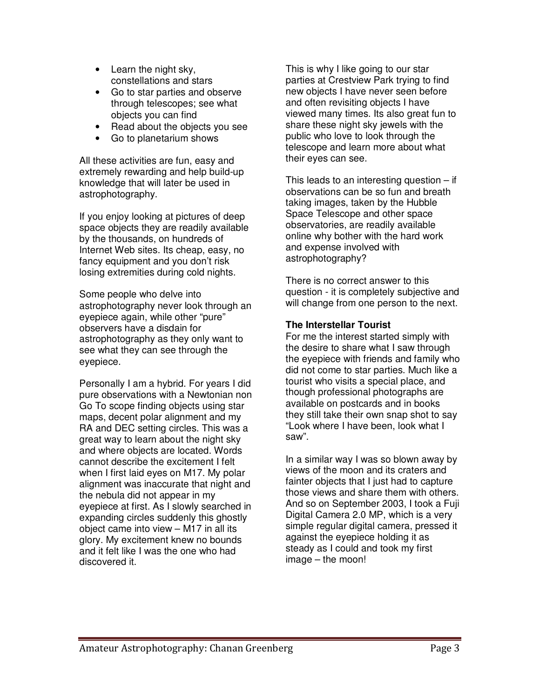- Learn the night sky, constellations and stars
- Go to star parties and observe through telescopes; see what objects you can find
- Read about the objects you see
- Go to planetarium shows

All these activities are fun, easy and extremely rewarding and help build-up knowledge that will later be used in astrophotography.

If you enjoy looking at pictures of deep space objects they are readily available by the thousands, on hundreds of Internet Web sites. Its cheap, easy, no fancy equipment and you don't risk losing extremities during cold nights.

Some people who delve into astrophotography never look through an eyepiece again, while other "pure" observers have a disdain for astrophotography as they only want to see what they can see through the eyepiece.

Personally I am a hybrid. For years I did pure observations with a Newtonian non Go To scope finding objects using star maps, decent polar alignment and my RA and DEC setting circles. This was a great way to learn about the night sky and where objects are located. Words cannot describe the excitement I felt when I first laid eyes on M17. My polar alignment was inaccurate that night and the nebula did not appear in my eyepiece at first. As I slowly searched in expanding circles suddenly this ghostly object came into view – M17 in all its glory. My excitement knew no bounds and it felt like I was the one who had discovered it.

This is why I like going to our star parties at Crestview Park trying to find new objects I have never seen before and often revisiting objects I have viewed many times. Its also great fun to share these night sky jewels with the public who love to look through the telescope and learn more about what their eyes can see.

This leads to an interesting question  $-$  if observations can be so fun and breath taking images, taken by the Hubble Space Telescope and other space observatories, are readily available online why bother with the hard work and expense involved with astrophotography?

There is no correct answer to this question - it is completely subjective and will change from one person to the next.

# **The Interstellar Tourist**

For me the interest started simply with the desire to share what I saw through the eyepiece with friends and family who did not come to star parties. Much like a tourist who visits a special place, and though professional photographs are available on postcards and in books they still take their own snap shot to say "Look where I have been, look what I saw".

In a similar way I was so blown away by views of the moon and its craters and fainter objects that I just had to capture those views and share them with others. And so on September 2003, I took a Fuji Digital Camera 2.0 MP, which is a very simple regular digital camera, pressed it against the eyepiece holding it as steady as I could and took my first image – the moon!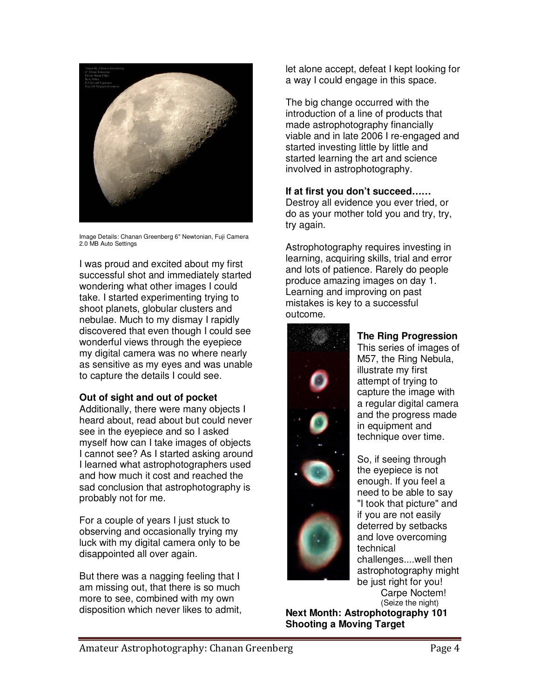

Image Details: Chanan Greenberg 6" Newtonian, Fuji Camera 2.0 MB Auto Settings

I was proud and excited about my first successful shot and immediately started wondering what other images I could take. I started experimenting trying to shoot planets, globular clusters and nebulae. Much to my dismay I rapidly discovered that even though I could see wonderful views through the eyepiece my digital camera was no where nearly as sensitive as my eyes and was unable to capture the details I could see.

# **Out of sight and out of pocket**

Additionally, there were many objects I heard about, read about but could never see in the eyepiece and so I asked myself how can I take images of objects I cannot see? As I started asking around I learned what astrophotographers used and how much it cost and reached the sad conclusion that astrophotography is probably not for me.

For a couple of years I just stuck to observing and occasionally trying my luck with my digital camera only to be disappointed all over again.

But there was a nagging feeling that I am missing out, that there is so much more to see, combined with my own disposition which never likes to admit, let alone accept, defeat I kept looking for a way I could engage in this space.

The big change occurred with the introduction of a line of products that made astrophotography financially viable and in late 2006 I re-engaged and started investing little by little and started learning the art and science involved in astrophotography.

# **If at first you don't succeed……**

Destroy all evidence you ever tried, or do as your mother told you and try, try, try again.

Astrophotography requires investing in learning, acquiring skills, trial and error and lots of patience. Rarely do people produce amazing images on day 1. Learning and improving on past mistakes is key to a successful outcome.



# **The Ring Progression**

This series of images of M57, the Ring Nebula, illustrate my first attempt of trying to capture the image with a regular digital camera and the progress made in equipment and technique over time.

So, if seeing through the eyepiece is not enough. If you feel a need to be able to say "I took that picture" and if you are not easily deterred by setbacks and love overcoming technical challenges....well then astrophotography might be just right for you! Carpe Noctem! (Seize the night)

**Next Month: Astrophotography 101 Shooting a Moving Target**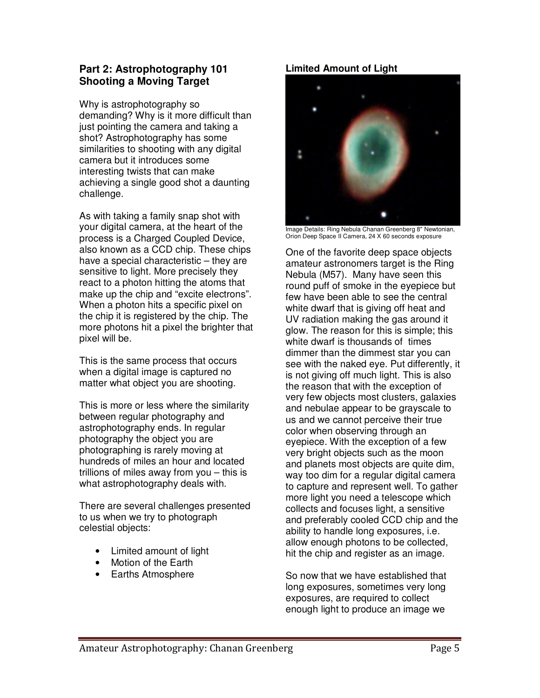# **Part 2: Astrophotography 101 Shooting a Moving Target**

Why is astrophotography so demanding? Why is it more difficult than just pointing the camera and taking a shot? Astrophotography has some similarities to shooting with any digital camera but it introduces some interesting twists that can make achieving a single good shot a daunting challenge.

As with taking a family snap shot with your digital camera, at the heart of the process is a Charged Coupled Device, also known as a CCD chip. These chips have a special characteristic – they are sensitive to light. More precisely they react to a photon hitting the atoms that make up the chip and "excite electrons". When a photon hits a specific pixel on the chip it is registered by the chip. The more photons hit a pixel the brighter that pixel will be.

This is the same process that occurs when a digital image is captured no matter what object you are shooting.

This is more or less where the similarity between regular photography and astrophotography ends. In regular photography the object you are photographing is rarely moving at hundreds of miles an hour and located trillions of miles away from you – this is what astrophotography deals with.

There are several challenges presented to us when we try to photograph celestial objects:

- Limited amount of light
- Motion of the Earth
- Earths Atmosphere

# **Limited Amount of Light**



Image Details: Ring Nebula Chanan Greenberg 8" Newtonian, Orion Deep Space II Camera, 24 X 60 seconds exposure

One of the favorite deep space objects amateur astronomers target is the Ring Nebula (M57). Many have seen this round puff of smoke in the eyepiece but few have been able to see the central white dwarf that is giving off heat and UV radiation making the gas around it glow. The reason for this is simple; this white dwarf is thousands of times dimmer than the dimmest star you can see with the naked eye. Put differently, it is not giving off much light. This is also the reason that with the exception of very few objects most clusters, galaxies and nebulae appear to be grayscale to us and we cannot perceive their true color when observing through an eyepiece. With the exception of a few very bright objects such as the moon and planets most objects are quite dim, way too dim for a regular digital camera to capture and represent well. To gather more light you need a telescope which collects and focuses light, a sensitive and preferably cooled CCD chip and the ability to handle long exposures, i.e. allow enough photons to be collected, hit the chip and register as an image.

So now that we have established that long exposures, sometimes very long exposures, are required to collect enough light to produce an image we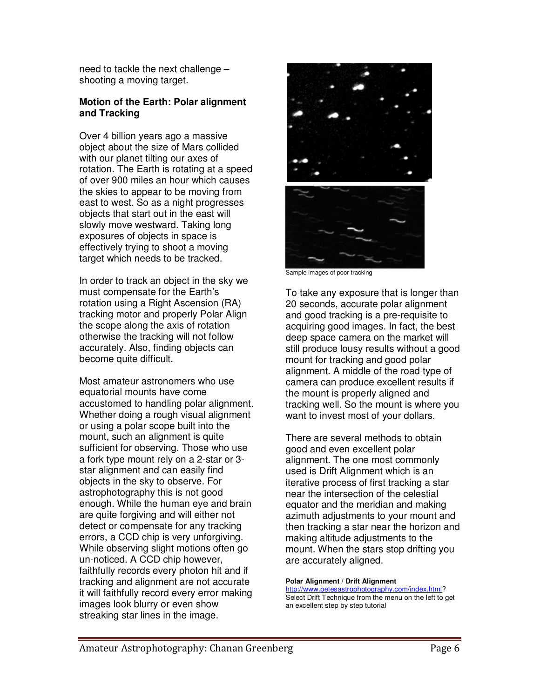need to tackle the next challenge – shooting a moving target.

# **Motion of the Earth: Polar alignment and Tracking**

Over 4 billion years ago a massive object about the size of Mars collided with our planet tilting our axes of rotation. The Earth is rotating at a speed of over 900 miles an hour which causes the skies to appear to be moving from east to west. So as a night progresses objects that start out in the east will slowly move westward. Taking long exposures of objects in space is effectively trying to shoot a moving target which needs to be tracked.

In order to track an object in the sky we must compensate for the Earth's rotation using a Right Ascension (RA) tracking motor and properly Polar Align the scope along the axis of rotation otherwise the tracking will not follow accurately. Also, finding objects can become quite difficult.

Most amateur astronomers who use equatorial mounts have come accustomed to handling polar alignment. Whether doing a rough visual alignment or using a polar scope built into the mount, such an alignment is quite sufficient for observing. Those who use a fork type mount rely on a 2-star or 3 star alignment and can easily find objects in the sky to observe. For astrophotography this is not good enough. While the human eye and brain are quite forgiving and will either not detect or compensate for any tracking errors, a CCD chip is very unforgiving. While observing slight motions often go un-noticed. A CCD chip however, faithfully records every photon hit and if tracking and alignment are not accurate it will faithfully record every error making images look blurry or even show streaking star lines in the image.



Sample images of poor tracking

To take any exposure that is longer than 20 seconds, accurate polar alignment and good tracking is a pre-requisite to acquiring good images. In fact, the best deep space camera on the market will still produce lousy results without a good mount for tracking and good polar alignment. A middle of the road type of camera can produce excellent results if the mount is properly aligned and tracking well. So the mount is where you want to invest most of your dollars.

There are several methods to obtain good and even excellent polar alignment. The one most commonly used is Drift Alignment which is an iterative process of first tracking a star near the intersection of the celestial equator and the meridian and making azimuth adjustments to your mount and then tracking a star near the horizon and making altitude adjustments to the mount. When the stars stop drifting you are accurately aligned.

#### **Polar Alignment / Drift Alignment**  http://www.petesastrophotography.com/index.html?

Select Drift Technique from the menu on the left to get an excellent step by step tutorial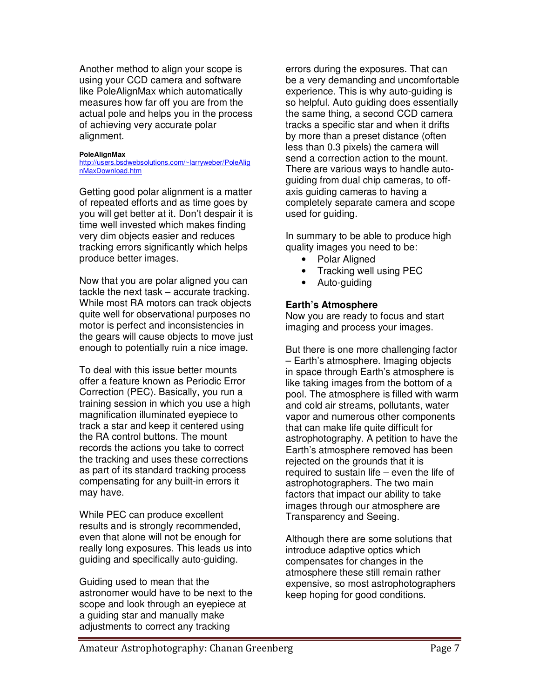Another method to align your scope is using your CCD camera and software like PoleAlignMax which automatically measures how far off you are from the actual pole and helps you in the process of achieving very accurate polar alignment.

#### **PoleAlignMax**

http://users.bsdwebsolutions.com/~larryweber/PoleAlig nMaxDownload.htm

Getting good polar alignment is a matter of repeated efforts and as time goes by you will get better at it. Don't despair it is time well invested which makes finding very dim objects easier and reduces tracking errors significantly which helps produce better images.

Now that you are polar aligned you can tackle the next task – accurate tracking. While most RA motors can track objects quite well for observational purposes no motor is perfect and inconsistencies in the gears will cause objects to move just enough to potentially ruin a nice image.

To deal with this issue better mounts offer a feature known as Periodic Error Correction (PEC). Basically, you run a training session in which you use a high magnification illuminated eyepiece to track a star and keep it centered using the RA control buttons. The mount records the actions you take to correct the tracking and uses these corrections as part of its standard tracking process compensating for any built-in errors it may have.

While PEC can produce excellent results and is strongly recommended, even that alone will not be enough for really long exposures. This leads us into guiding and specifically auto-guiding.

Guiding used to mean that the astronomer would have to be next to the scope and look through an eyepiece at a guiding star and manually make adjustments to correct any tracking

errors during the exposures. That can be a very demanding and uncomfortable experience. This is why auto-guiding is so helpful. Auto guiding does essentially the same thing, a second CCD camera tracks a specific star and when it drifts by more than a preset distance (often less than 0.3 pixels) the camera will send a correction action to the mount. There are various ways to handle autoguiding from dual chip cameras, to offaxis guiding cameras to having a completely separate camera and scope used for guiding.

In summary to be able to produce high quality images you need to be:

- Polar Aligned
- Tracking well using PEC
- Auto-guiding

# **Earth's Atmosphere**

Now you are ready to focus and start imaging and process your images.

But there is one more challenging factor – Earth's atmosphere. Imaging objects in space through Earth's atmosphere is like taking images from the bottom of a pool. The atmosphere is filled with warm and cold air streams, pollutants, water vapor and numerous other components that can make life quite difficult for astrophotography. A petition to have the Earth's atmosphere removed has been rejected on the grounds that it is required to sustain life – even the life of astrophotographers. The two main factors that impact our ability to take images through our atmosphere are Transparency and Seeing.

Although there are some solutions that introduce adaptive optics which compensates for changes in the atmosphere these still remain rather expensive, so most astrophotographers keep hoping for good conditions.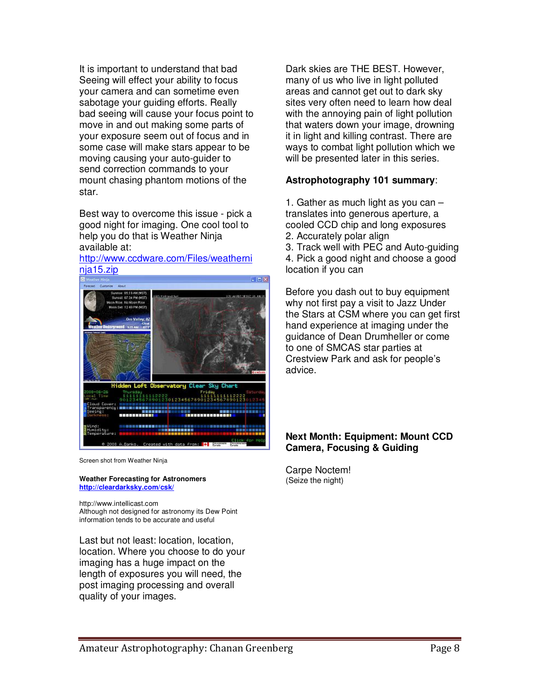It is important to understand that bad Seeing will effect your ability to focus your camera and can sometime even sabotage your guiding efforts. Really bad seeing will cause your focus point to move in and out making some parts of your exposure seem out of focus and in some case will make stars appear to be moving causing your auto-guider to send correction commands to your mount chasing phantom motions of the star.

Best way to overcome this issue - pick a good night for imaging. One cool tool to help you do that is Weather Ninja available at:

#### http://www.ccdware.com/Files/weatherni nja15.zip



Screen shot from Weather Ninja

**Weather Forecasting for Astronomers http://cleardarksky.com/csk/**

http://www.intellicast.com Although not designed for astronomy its Dew Point information tends to be accurate and useful

Last but not least: location, location, location. Where you choose to do your imaging has a huge impact on the length of exposures you will need, the post imaging processing and overall quality of your images.

Dark skies are THE BEST. However, many of us who live in light polluted areas and cannot get out to dark sky sites very often need to learn how deal with the annoying pain of light pollution that waters down your image, drowning it in light and killing contrast. There are ways to combat light pollution which we will be presented later in this series.

# **Astrophotography 101 summary**:

1. Gather as much light as you can – translates into generous aperture, a cooled CCD chip and long exposures 2. Accurately polar align

3. Track well with PEC and Auto-guiding 4. Pick a good night and choose a good location if you can

Before you dash out to buy equipment why not first pay a visit to Jazz Under the Stars at CSM where you can get first hand experience at imaging under the guidance of Dean Drumheller or come to one of SMCAS star parties at Crestview Park and ask for people's advice.

# **Next Month: Equipment: Mount CCD Camera, Focusing & Guiding**

Carpe Noctem! (Seize the night)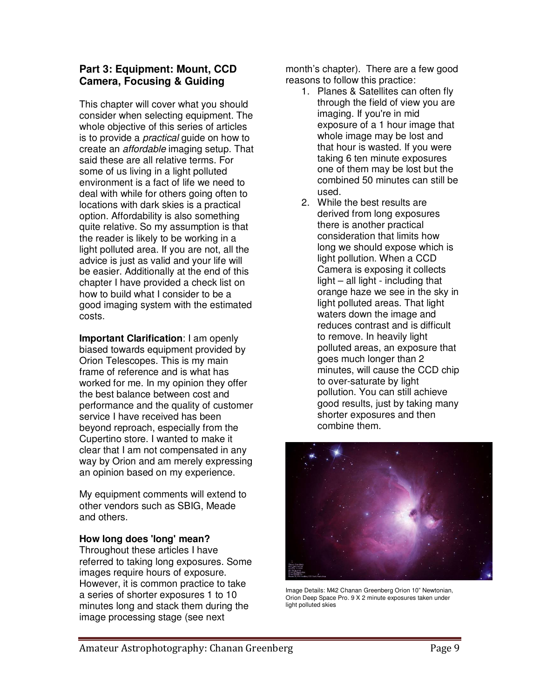# **Part 3: Equipment: Mount, CCD Camera, Focusing & Guiding**

This chapter will cover what you should consider when selecting equipment. The whole objective of this series of articles is to provide a *practical* quide on how to create an affordable imaging setup. That said these are all relative terms. For some of us living in a light polluted environment is a fact of life we need to deal with while for others going often to locations with dark skies is a practical option. Affordability is also something quite relative. So my assumption is that the reader is likely to be working in a light polluted area. If you are not, all the advice is just as valid and your life will be easier. Additionally at the end of this chapter I have provided a check list on how to build what I consider to be a good imaging system with the estimated costs.

**Important Clarification**: I am openly biased towards equipment provided by Orion Telescopes. This is my main frame of reference and is what has worked for me. In my opinion they offer the best balance between cost and performance and the quality of customer service I have received has been beyond reproach, especially from the Cupertino store. I wanted to make it clear that I am not compensated in any way by Orion and am merely expressing an opinion based on my experience.

My equipment comments will extend to other vendors such as SBIG, Meade and others.

# **How long does 'long' mean?**

Throughout these articles I have referred to taking long exposures. Some images require hours of exposure. However, it is common practice to take a series of shorter exposures 1 to 10 minutes long and stack them during the image processing stage (see next

month's chapter). There are a few good reasons to follow this practice:

- 1. Planes & Satellites can often fly through the field of view you are imaging. If you're in mid exposure of a 1 hour image that whole image may be lost and that hour is wasted. If you were taking 6 ten minute exposures one of them may be lost but the combined 50 minutes can still be used.
- 2. While the best results are derived from long exposures there is another practical consideration that limits how long we should expose which is light pollution. When a CCD Camera is exposing it collects light – all light - including that orange haze we see in the sky in light polluted areas. That light waters down the image and reduces contrast and is difficult to remove. In heavily light polluted areas, an exposure that goes much longer than 2 minutes, will cause the CCD chip to over-saturate by light pollution. You can still achieve good results, just by taking many shorter exposures and then combine them.



Image Details: M42 Chanan Greenberg Orion 10" Newtonian, Orion Deep Space Pro. 9 X 2 minute exposures taken under light polluted skies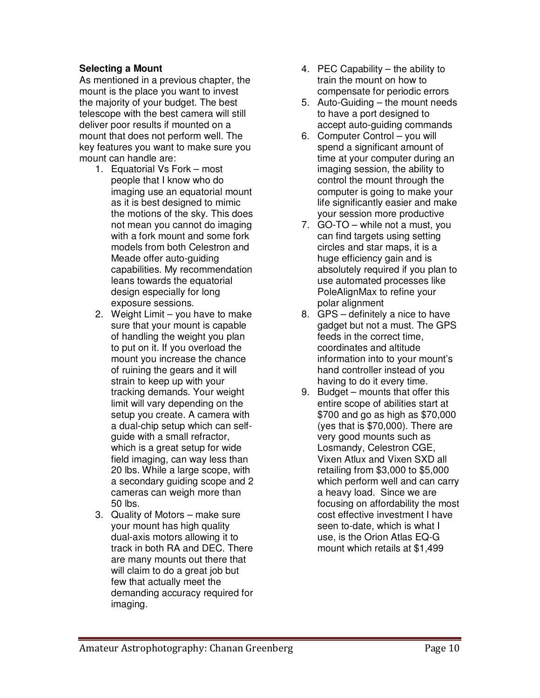# **Selecting a Mount**

As mentioned in a previous chapter, the mount is the place you want to invest the majority of your budget. The best telescope with the best camera will still deliver poor results if mounted on a mount that does not perform well. The key features you want to make sure you mount can handle are:

- 1. Equatorial Vs Fork most people that I know who do imaging use an equatorial mount as it is best designed to mimic the motions of the sky. This does not mean you cannot do imaging with a fork mount and some fork models from both Celestron and Meade offer auto-guiding capabilities. My recommendation leans towards the equatorial design especially for long exposure sessions.
- 2. Weight Limit you have to make sure that your mount is capable of handling the weight you plan to put on it. If you overload the mount you increase the chance of ruining the gears and it will strain to keep up with your tracking demands. Your weight limit will vary depending on the setup you create. A camera with a dual-chip setup which can selfguide with a small refractor, which is a great setup for wide field imaging, can way less than 20 lbs. While a large scope, with a secondary guiding scope and 2 cameras can weigh more than 50 lbs.
- 3. Quality of Motors make sure your mount has high quality dual-axis motors allowing it to track in both RA and DEC. There are many mounts out there that will claim to do a great job but few that actually meet the demanding accuracy required for imaging.
- 4. PEC Capability the ability to train the mount on how to compensate for periodic errors
- 5. Auto-Guiding the mount needs to have a port designed to accept auto-guiding commands
- 6. Computer Control you will spend a significant amount of time at your computer during an imaging session, the ability to control the mount through the computer is going to make your life significantly easier and make your session more productive
- 7. GO-TO while not a must, you can find targets using setting circles and star maps, it is a huge efficiency gain and is absolutely required if you plan to use automated processes like PoleAlignMax to refine your polar alignment
- 8. GPS definitely a nice to have gadget but not a must. The GPS feeds in the correct time, coordinates and altitude information into to your mount's hand controller instead of you having to do it every time.
- 9. Budget mounts that offer this entire scope of abilities start at \$700 and go as high as \$70,000 (yes that is \$70,000). There are very good mounts such as Losmandy, Celestron CGE, Vixen Atlux and Vixen SXD all retailing from \$3,000 to \$5,000 which perform well and can carry a heavy load. Since we are focusing on affordability the most cost effective investment I have seen to-date, which is what I use, is the Orion Atlas EQ-G mount which retails at \$1,499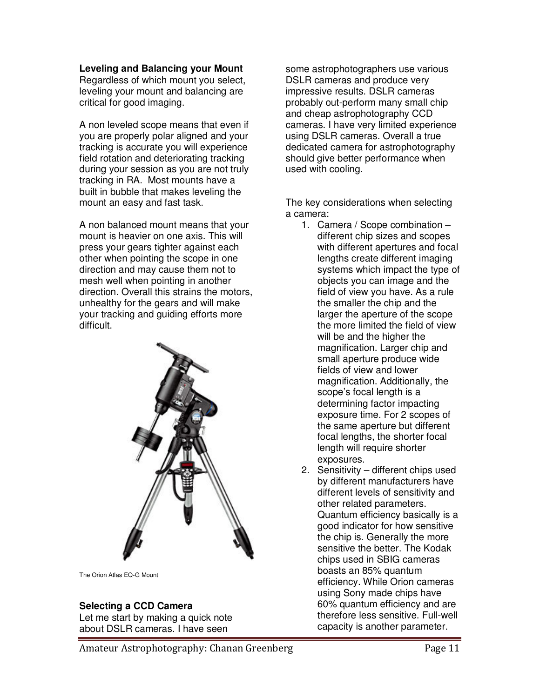#### **Leveling and Balancing your Mount**

Regardless of which mount you select, leveling your mount and balancing are critical for good imaging.

A non leveled scope means that even if you are properly polar aligned and your tracking is accurate you will experience field rotation and deteriorating tracking during your session as you are not truly tracking in RA. Most mounts have a built in bubble that makes leveling the mount an easy and fast task.

A non balanced mount means that your mount is heavier on one axis. This will press your gears tighter against each other when pointing the scope in one direction and may cause them not to mesh well when pointing in another direction. Overall this strains the motors, unhealthy for the gears and will make your tracking and guiding efforts more difficult.



The Orion Atlas EQ-G Mount

# **Selecting a CCD Camera**

Let me start by making a quick note about DSLR cameras. I have seen

some astrophotographers use various DSLR cameras and produce very impressive results. DSLR cameras probably out-perform many small chip and cheap astrophotography CCD cameras. I have very limited experience using DSLR cameras. Overall a true dedicated camera for astrophotography should give better performance when used with cooling.

The key considerations when selecting a camera:

- 1. Camera / Scope combination different chip sizes and scopes with different apertures and focal lengths create different imaging systems which impact the type of objects you can image and the field of view you have. As a rule the smaller the chip and the larger the aperture of the scope the more limited the field of view will be and the higher the magnification. Larger chip and small aperture produce wide fields of view and lower magnification. Additionally, the scope's focal length is a determining factor impacting exposure time. For 2 scopes of the same aperture but different focal lengths, the shorter focal length will require shorter exposures.
- 2. Sensitivity different chips used by different manufacturers have different levels of sensitivity and other related parameters. Quantum efficiency basically is a good indicator for how sensitive the chip is. Generally the more sensitive the better. The Kodak chips used in SBIG cameras boasts an 85% quantum efficiency. While Orion cameras using Sony made chips have 60% quantum efficiency and are therefore less sensitive. Full-well capacity is another parameter.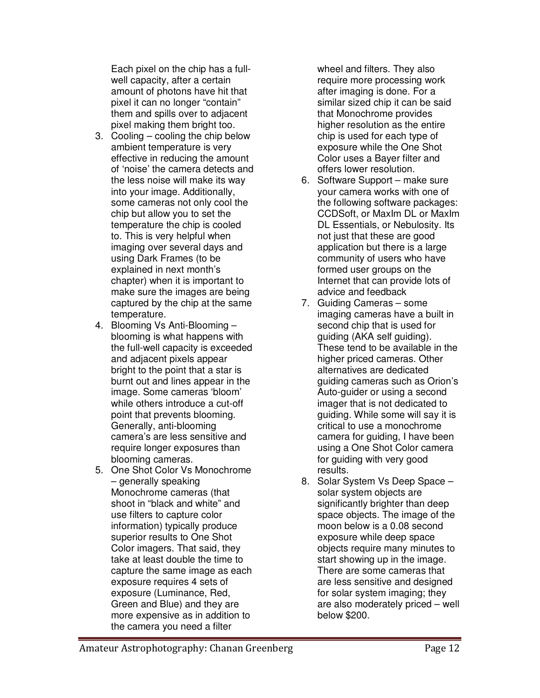Each pixel on the chip has a fullwell capacity, after a certain amount of photons have hit that pixel it can no longer "contain" them and spills over to adjacent pixel making them bright too.

- 3. Cooling cooling the chip below ambient temperature is very effective in reducing the amount of 'noise' the camera detects and the less noise will make its way into your image. Additionally, some cameras not only cool the chip but allow you to set the temperature the chip is cooled to. This is very helpful when imaging over several days and using Dark Frames (to be explained in next month's chapter) when it is important to make sure the images are being captured by the chip at the same temperature.
- 4. Blooming Vs Anti-Blooming blooming is what happens with the full-well capacity is exceeded and adjacent pixels appear bright to the point that a star is burnt out and lines appear in the image. Some cameras 'bloom' while others introduce a cut-off point that prevents blooming. Generally, anti-blooming camera's are less sensitive and require longer exposures than blooming cameras.
- 5. One Shot Color Vs Monochrome – generally speaking Monochrome cameras (that shoot in "black and white" and use filters to capture color information) typically produce superior results to One Shot Color imagers. That said, they take at least double the time to capture the same image as each exposure requires 4 sets of exposure (Luminance, Red, Green and Blue) and they are more expensive as in addition to the camera you need a filter

wheel and filters. They also require more processing work after imaging is done. For a similar sized chip it can be said that Monochrome provides higher resolution as the entire chip is used for each type of exposure while the One Shot Color uses a Bayer filter and offers lower resolution.

- 6. Software Support make sure your camera works with one of the following software packages: CCDSoft, or MaxIm DL or MaxIm DL Essentials, or Nebulosity. Its not just that these are good application but there is a large community of users who have formed user groups on the Internet that can provide lots of advice and feedback
- 7. Guiding Cameras some imaging cameras have a built in second chip that is used for guiding (AKA self guiding). These tend to be available in the higher priced cameras. Other alternatives are dedicated guiding cameras such as Orion's Auto-guider or using a second imager that is not dedicated to guiding. While some will say it is critical to use a monochrome camera for guiding, I have been using a One Shot Color camera for guiding with very good results.
- 8. Solar System Vs Deep Space solar system objects are significantly brighter than deep space objects. The image of the moon below is a 0.08 second exposure while deep space objects require many minutes to start showing up in the image. There are some cameras that are less sensitive and designed for solar system imaging; they are also moderately priced – well below \$200.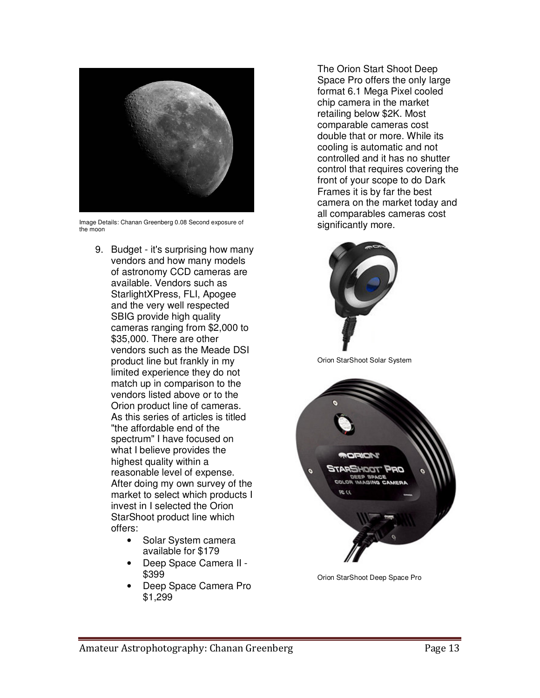

Image Details: Chanan Greenberg 0.08 Second exposure of the moon

- 9. Budget it's surprising how many vendors and how many models of astronomy CCD cameras are available. Vendors such as StarlightXPress, FLI, Apogee and the very well respected SBIG provide high quality cameras ranging from \$2,000 to \$35,000. There are other vendors such as the Meade DSI product line but frankly in my limited experience they do not match up in comparison to the vendors listed above or to the Orion product line of cameras. As this series of articles is titled "the affordable end of the spectrum" I have focused on what I believe provides the highest quality within a reasonable level of expense. After doing my own survey of the market to select which products I invest in I selected the Orion StarShoot product line which offers:
	- Solar System camera available for \$179
	- Deep Space Camera II \$399
	- Deep Space Camera Pro \$1,299

The Orion Start Shoot Deep Space Pro offers the only large format 6.1 Mega Pixel cooled chip camera in the market retailing below \$2K. Most comparable cameras cost double that or more. While its cooling is automatic and not controlled and it has no shutter control that requires covering the front of your scope to do Dark Frames it is by far the best camera on the market today and all comparables cameras cost significantly more.



Orion StarShoot Solar System



Orion StarShoot Deep Space Pro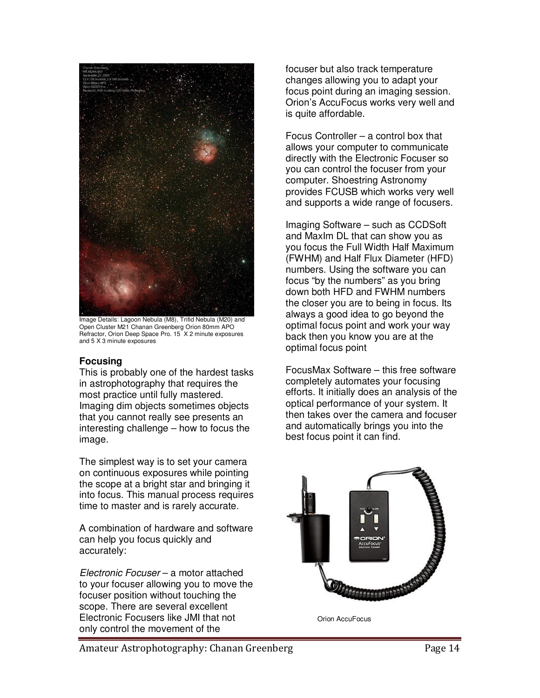

Image Details: Lagoon Nebula (M8), Trifid Nebula (M20) and Open Cluster M21 Chanan Greenberg Orion 80mm APO Refractor, Orion Deep Space Pro. 15 X 2 minute exposures and 5 X 3 minute exposures

# **Focusing**

This is probably one of the hardest tasks in astrophotography that requires the most practice until fully mastered. Imaging dim objects sometimes objects that you cannot really see presents an interesting challenge – how to focus the image.

The simplest way is to set your camera on continuous exposures while pointing the scope at a bright star and bringing it into focus. This manual process requires time to master and is rarely accurate.

A combination of hardware and software can help you focus quickly and accurately:

Electronic Focuser – a motor attached to your focuser allowing you to move the focuser position without touching the scope. There are several excellent Electronic Focusers like JMI that not only control the movement of the

focuser but also track temperature changes allowing you to adapt your focus point during an imaging session. Orion's AccuFocus works very well and is quite affordable.

Focus Controller – a control box that allows your computer to communicate directly with the Electronic Focuser so you can control the focuser from your computer. Shoestring Astronomy provides FCUSB which works very well and supports a wide range of focusers.

Imaging Software – such as CCDSoft and MaxIm DL that can show you as you focus the Full Width Half Maximum (FWHM) and Half Flux Diameter (HFD) numbers. Using the software you can focus "by the numbers" as you bring down both HFD and FWHM numbers the closer you are to being in focus. Its always a good idea to go beyond the optimal focus point and work your way back then you know you are at the optimal focus point

FocusMax Software – this free software completely automates your focusing efforts. It initially does an analysis of the optical performance of your system. It then takes over the camera and focuser and automatically brings you into the best focus point it can find.



Orion AccuFocus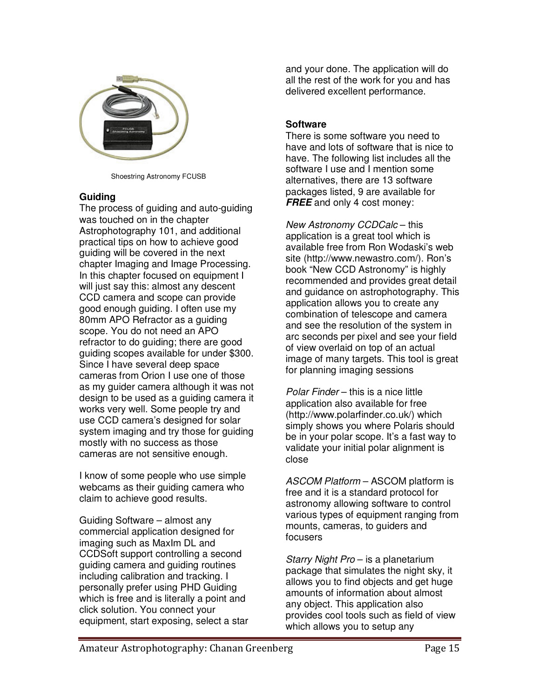

Shoestring Astronomy FCUSB

# **Guiding**

The process of guiding and auto-guiding was touched on in the chapter Astrophotography 101, and additional practical tips on how to achieve good guiding will be covered in the next chapter Imaging and Image Processing. In this chapter focused on equipment I will just say this: almost any descent CCD camera and scope can provide good enough guiding. I often use my 80mm APO Refractor as a guiding scope. You do not need an APO refractor to do guiding; there are good guiding scopes available for under \$300. Since I have several deep space cameras from Orion I use one of those as my guider camera although it was not design to be used as a guiding camera it works very well. Some people try and use CCD camera's designed for solar system imaging and try those for guiding mostly with no success as those cameras are not sensitive enough.

I know of some people who use simple webcams as their guiding camera who claim to achieve good results.

Guiding Software – almost any commercial application designed for imaging such as MaxIm DL and CCDSoft support controlling a second guiding camera and guiding routines including calibration and tracking. I personally prefer using PHD Guiding which is free and is literally a point and click solution. You connect your equipment, start exposing, select a star

and your done. The application will do all the rest of the work for you and has delivered excellent performance.

# **Software**

There is some software you need to have and lots of software that is nice to have. The following list includes all the software I use and I mention some alternatives, there are 13 software packages listed, 9 are available for **FREE** and only 4 cost money:

New Astronomy CCDCalc – this application is a great tool which is available free from Ron Wodaski's web site (http://www.newastro.com/). Ron's book "New CCD Astronomy" is highly recommended and provides great detail and guidance on astrophotography. This application allows you to create any combination of telescope and camera and see the resolution of the system in arc seconds per pixel and see your field of view overlaid on top of an actual image of many targets. This tool is great for planning imaging sessions

Polar Finder – this is a nice little application also available for free (http://www.polarfinder.co.uk/) which simply shows you where Polaris should be in your polar scope. It's a fast way to validate your initial polar alignment is close

ASCOM Platform – ASCOM platform is free and it is a standard protocol for astronomy allowing software to control various types of equipment ranging from mounts, cameras, to guiders and focusers

Starry Night Pro – is a planetarium package that simulates the night sky, it allows you to find objects and get huge amounts of information about almost any object. This application also provides cool tools such as field of view which allows you to setup any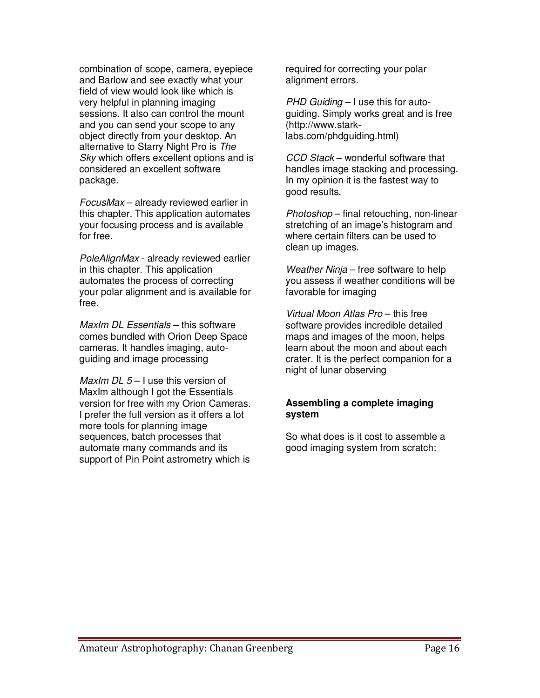combination of scope, camera, eyepiece and Barlow and see exactly what your field of view would look like which is very helpful in planning imaging sessions. It also can control the mount and you can send your scope to any object directly from your desktop. An alternative to Starry Night Pro is The Sky which offers excellent options and is considered an excellent software package.

FocusMax – already reviewed earlier in this chapter. This application automates your focusing process and is available for free.

PoleAlignMax - already reviewed earlier in this chapter. This application automates the process of correcting your polar alignment and is available for free.

MaxIm DL Essentials – this software comes bundled with Orion Deep Space cameras. It handles imaging, autoguiding and image processing

MaxIm DL  $5 - 1$  use this version of MaxIm although I got the Essentials version for free with my Orion Cameras. I prefer the full version as it offers a lot more tools for planning image sequences, batch processes that automate many commands and its support of Pin Point astrometry which is

required for correcting your polar alignment errors.

 $PHD$  Guiding  $-1$  use this for autoguiding. Simply works great and is free (http://www.starklabs.com/phdguiding.html)

CCD Stack – wonderful software that handles image stacking and processing. In my opinion it is the fastest way to good results.

Photoshop – final retouching, non-linear stretching of an image's histogram and where certain filters can be used to clean up images.

Weather Ninja – free software to help you assess if weather conditions will be favorable for imaging

Virtual Moon Atlas Pro – this free software provides incredible detailed maps and images of the moon, helps learn about the moon and about each crater. It is the perfect companion for a night of lunar observing

# **Assembling a complete imaging system**

So what does is it cost to assemble a good imaging system from scratch: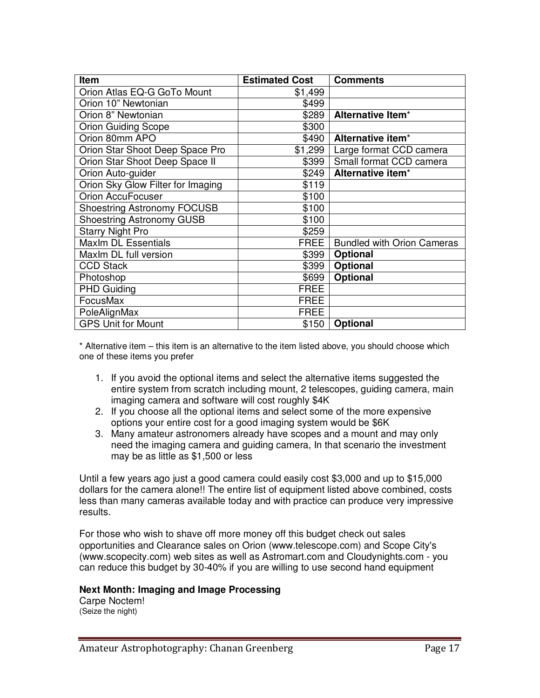| Item                               | <b>Estimated Cost</b> | <b>Comments</b>                   |
|------------------------------------|-----------------------|-----------------------------------|
| Orion Atlas EQ-G GoTo Mount        | \$1,499               |                                   |
| Orion 10" Newtonian                | \$499                 |                                   |
| Orion 8" Newtonian                 | \$289                 | Alternative Item <sup>*</sup>     |
| <b>Orion Guiding Scope</b>         | \$300                 |                                   |
| Orion 80mm APO                     | \$490                 | Alternative item*                 |
| Orion Star Shoot Deep Space Pro    | \$1,299               | Large format CCD camera           |
| Orion Star Shoot Deep Space II     | \$399                 | Small format CCD camera           |
| Orion Auto-guider                  | \$249                 | Alternative item*                 |
| Orion Sky Glow Filter for Imaging  | \$119                 |                                   |
| <b>Orion AccuFocuser</b>           | \$100                 |                                   |
| <b>Shoestring Astronomy FOCUSB</b> | \$100                 |                                   |
| <b>Shoestring Astronomy GUSB</b>   | \$100                 |                                   |
| <b>Starry Night Pro</b>            | \$259                 |                                   |
| <b>MaxIm DL Essentials</b>         | <b>FREE</b>           | <b>Bundled with Orion Cameras</b> |
| Maxlm DL full version              | \$399                 | Optional                          |
| <b>CCD Stack</b>                   | \$399                 | <b>Optional</b>                   |
| Photoshop                          | \$699                 | Optional                          |
| <b>PHD Guiding</b>                 | <b>FREE</b>           |                                   |
| FocusMax                           | <b>FREE</b>           |                                   |
| PoleAlignMax                       | <b>FREE</b>           |                                   |
| <b>GPS Unit for Mount</b>          | \$150                 | <b>Optional</b>                   |

\* Alternative item – this item is an alternative to the item listed above, you should choose which one of these items you prefer

- 1. If you avoid the optional items and select the alternative items suggested the entire system from scratch including mount, 2 telescopes, guiding camera, main imaging camera and software will cost roughly \$4K
- 2. If you choose all the optional items and select some of the more expensive options your entire cost for a good imaging system would be \$6K
- 3. Many amateur astronomers already have scopes and a mount and may only need the imaging camera and guiding camera, In that scenario the investment may be as little as \$1,500 or less

Until a few years ago just a good camera could easily cost \$3,000 and up to \$15,000 dollars for the camera alone!! The entire list of equipment listed above combined, costs less than many cameras available today and with practice can produce very impressive results.

For those who wish to shave off more money off this budget check out sales opportunities and Clearance sales on Orion (www.telescope.com) and Scope City's (www.scopecity.com) web sites as well as Astromart.com and Cloudynights.com - you can reduce this budget by 30-40% if you are willing to use second hand equipment

# **Next Month: Imaging and Image Processing**

Carpe Noctem! (Seize the night)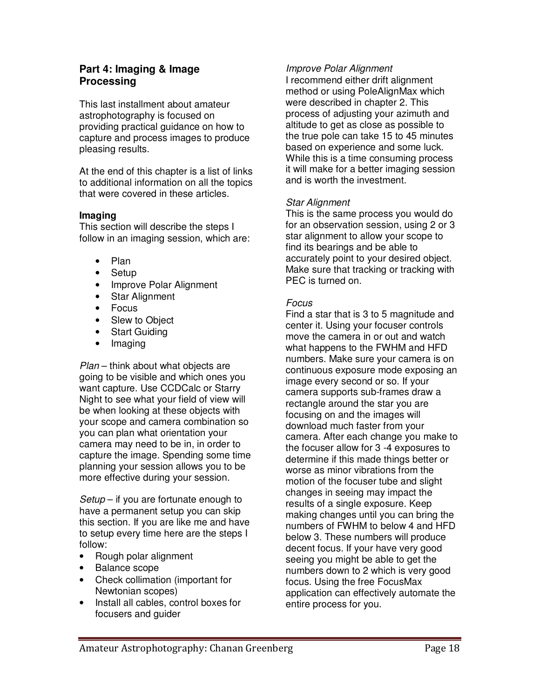# **Part 4: Imaging & Image Processing**

This last installment about amateur astrophotography is focused on providing practical guidance on how to capture and process images to produce pleasing results.

At the end of this chapter is a list of links to additional information on all the topics that were covered in these articles.

# **Imaging**

This section will describe the steps I follow in an imaging session, which are:

- Plan
- Setup
- Improve Polar Alignment
- Star Alignment
- Focus
- Slew to Object
- Start Guiding
- Imaging

Plan – think about what objects are going to be visible and which ones you want capture. Use CCDCalc or Starry Night to see what your field of view will be when looking at these objects with your scope and camera combination so you can plan what orientation your camera may need to be in, in order to capture the image. Spending some time planning your session allows you to be more effective during your session.

Setup – if you are fortunate enough to have a permanent setup you can skip this section. If you are like me and have to setup every time here are the steps I follow:

- Rough polar alignment
- Balance scope
- Check collimation (important for Newtonian scopes)
- Install all cables, control boxes for focusers and guider

# Improve Polar Alignment

I recommend either drift alignment method or using PoleAlignMax which were described in chapter 2. This process of adjusting your azimuth and altitude to get as close as possible to the true pole can take 15 to 45 minutes based on experience and some luck. While this is a time consuming process it will make for a better imaging session and is worth the investment.

# Star Alignment

This is the same process you would do for an observation session, using 2 or 3 star alignment to allow your scope to find its bearings and be able to accurately point to your desired object. Make sure that tracking or tracking with PEC is turned on.

# **Focus**

Find a star that is 3 to 5 magnitude and center it. Using your focuser controls move the camera in or out and watch what happens to the FWHM and HFD numbers. Make sure your camera is on continuous exposure mode exposing an image every second or so. If your camera supports sub-frames draw a rectangle around the star you are focusing on and the images will download much faster from your camera. After each change you make to the focuser allow for 3 -4 exposures to determine if this made things better or worse as minor vibrations from the motion of the focuser tube and slight changes in seeing may impact the results of a single exposure. Keep making changes until you can bring the numbers of FWHM to below 4 and HFD below 3. These numbers will produce decent focus. If your have very good seeing you might be able to get the numbers down to 2 which is very good focus. Using the free FocusMax application can effectively automate the entire process for you.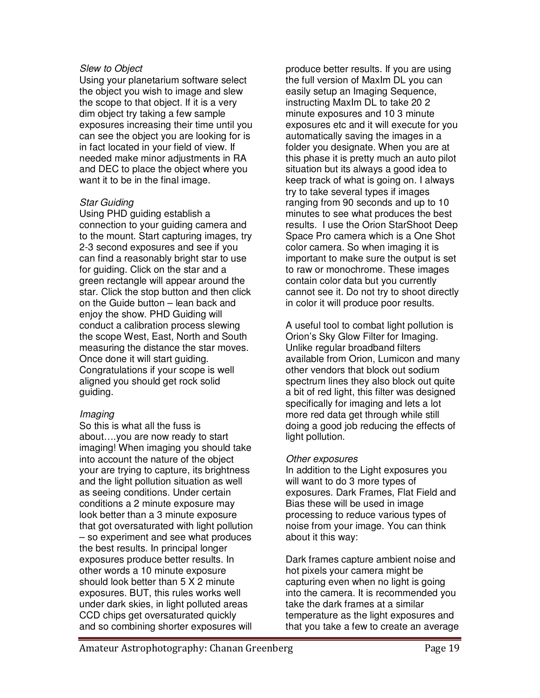# Slew to Object

Using your planetarium software select the object you wish to image and slew the scope to that object. If it is a very dim object try taking a few sample exposures increasing their time until you can see the object you are looking for is in fact located in your field of view. If needed make minor adjustments in RA and DEC to place the object where you want it to be in the final image.

# Star Guiding

Using PHD guiding establish a connection to your guiding camera and to the mount. Start capturing images, try 2-3 second exposures and see if you can find a reasonably bright star to use for guiding. Click on the star and a green rectangle will appear around the star. Click the stop button and then click on the Guide button – lean back and enjoy the show. PHD Guiding will conduct a calibration process slewing the scope West, East, North and South measuring the distance the star moves. Once done it will start guiding. Congratulations if your scope is well aligned you should get rock solid guiding.

# Imaging

So this is what all the fuss is about….you are now ready to start imaging! When imaging you should take into account the nature of the object your are trying to capture, its brightness and the light pollution situation as well as seeing conditions. Under certain conditions a 2 minute exposure may look better than a 3 minute exposure that got oversaturated with light pollution – so experiment and see what produces the best results. In principal longer exposures produce better results. In other words a 10 minute exposure should look better than 5 X 2 minute exposures. BUT, this rules works well under dark skies, in light polluted areas CCD chips get oversaturated quickly and so combining shorter exposures will

produce better results. If you are using the full version of MaxIm DL you can easily setup an Imaging Sequence, instructing MaxIm DL to take 20 2 minute exposures and 10 3 minute exposures etc and it will execute for you automatically saving the images in a folder you designate. When you are at this phase it is pretty much an auto pilot situation but its always a good idea to keep track of what is going on. I always try to take several types if images ranging from 90 seconds and up to 10 minutes to see what produces the best results. I use the Orion StarShoot Deep Space Pro camera which is a One Shot color camera. So when imaging it is important to make sure the output is set to raw or monochrome. These images contain color data but you currently cannot see it. Do not try to shoot directly in color it will produce poor results.

A useful tool to combat light pollution is Orion's Sky Glow Filter for Imaging. Unlike regular broadband filters available from Orion, Lumicon and many other vendors that block out sodium spectrum lines they also block out quite a bit of red light, this filter was designed specifically for imaging and lets a lot more red data get through while still doing a good job reducing the effects of light pollution.

# Other exposures

In addition to the Light exposures you will want to do 3 more types of exposures. Dark Frames, Flat Field and Bias these will be used in image processing to reduce various types of noise from your image. You can think about it this way:

Dark frames capture ambient noise and hot pixels your camera might be capturing even when no light is going into the camera. It is recommended you take the dark frames at a similar temperature as the light exposures and that you take a few to create an average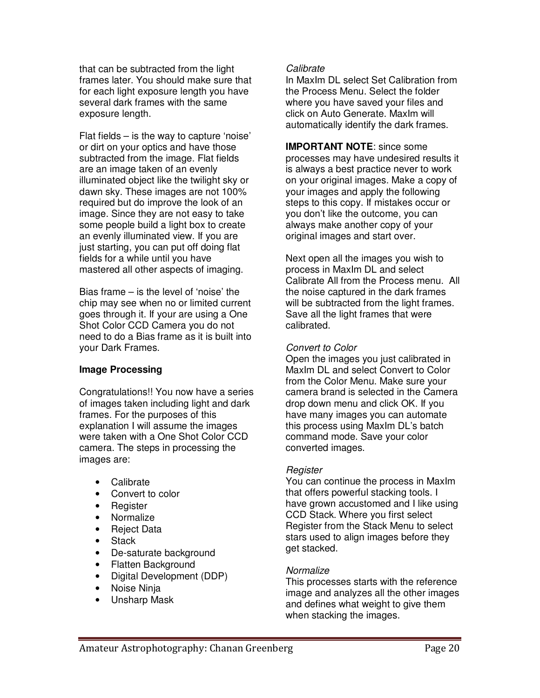that can be subtracted from the light frames later. You should make sure that for each light exposure length you have several dark frames with the same exposure length.

Flat fields – is the way to capture 'noise' or dirt on your optics and have those subtracted from the image. Flat fields are an image taken of an evenly illuminated object like the twilight sky or dawn sky. These images are not 100% required but do improve the look of an image. Since they are not easy to take some people build a light box to create an evenly illuminated view. If you are just starting, you can put off doing flat fields for a while until you have mastered all other aspects of imaging.

Bias frame – is the level of 'noise' the chip may see when no or limited current goes through it. If your are using a One Shot Color CCD Camera you do not need to do a Bias frame as it is built into your Dark Frames.

# **Image Processing**

Congratulations!! You now have a series of images taken including light and dark frames. For the purposes of this explanation I will assume the images were taken with a One Shot Color CCD camera. The steps in processing the images are:

- Calibrate
- Convert to color
- Register
- Normalize
- Reject Data
- Stack
- De-saturate background
- Flatten Background
- Digital Development (DDP)
- Noise Ninia
- Unsharp Mask

#### Calibrate

In MaxIm DL select Set Calibration from the Process Menu. Select the folder where you have saved your files and click on Auto Generate. MaxIm will automatically identify the dark frames.

**IMPORTANT NOTE**: since some processes may have undesired results it is always a best practice never to work on your original images. Make a copy of your images and apply the following steps to this copy. If mistakes occur or you don't like the outcome, you can always make another copy of your original images and start over.

Next open all the images you wish to process in MaxIm DL and select Calibrate All from the Process menu. All the noise captured in the dark frames will be subtracted from the light frames. Save all the light frames that were calibrated.

# Convert to Color

Open the images you just calibrated in MaxIm DL and select Convert to Color from the Color Menu. Make sure your camera brand is selected in the Camera drop down menu and click OK. If you have many images you can automate this process using MaxIm DL's batch command mode. Save your color converted images.

# **Register**

You can continue the process in MaxIm that offers powerful stacking tools. I have grown accustomed and I like using CCD Stack. Where you first select Register from the Stack Menu to select stars used to align images before they get stacked.

# **Normalize**

This processes starts with the reference image and analyzes all the other images and defines what weight to give them when stacking the images.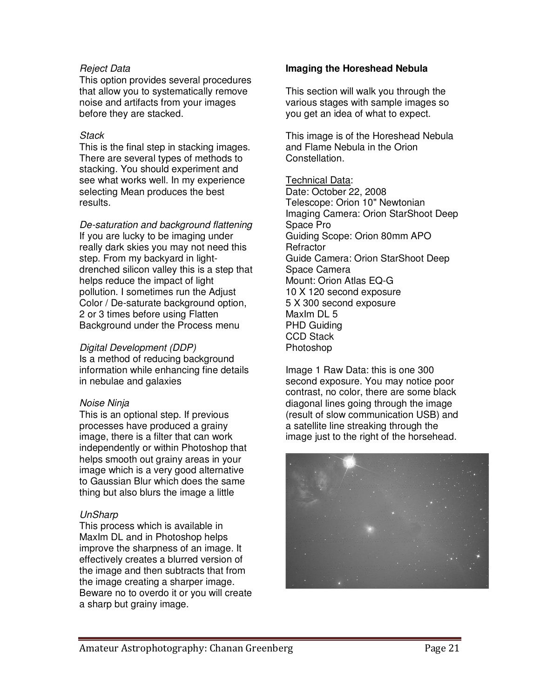# Reject Data

This option provides several procedures that allow you to systematically remove noise and artifacts from your images before they are stacked.

# **Stack**

This is the final step in stacking images. There are several types of methods to stacking. You should experiment and see what works well. In my experience selecting Mean produces the best results.

De-saturation and background flattening If you are lucky to be imaging under really dark skies you may not need this step. From my backyard in lightdrenched silicon valley this is a step that helps reduce the impact of light pollution. I sometimes run the Adjust Color / De-saturate background option, 2 or 3 times before using Flatten Background under the Process menu

# Digital Development (DDP)

Is a method of reducing background information while enhancing fine details in nebulae and galaxies

# Noise Ninja

This is an optional step. If previous processes have produced a grainy image, there is a filter that can work independently or within Photoshop that helps smooth out grainy areas in your image which is a very good alternative to Gaussian Blur which does the same thing but also blurs the image a little

# UnSharp

This process which is available in MaxIm DL and in Photoshop helps improve the sharpness of an image. It effectively creates a blurred version of the image and then subtracts that from the image creating a sharper image. Beware no to overdo it or you will create a sharp but grainy image.

# **Imaging the Horeshead Nebula**

This section will walk you through the various stages with sample images so you get an idea of what to expect.

This image is of the Horeshead Nebula and Flame Nebula in the Orion Constellation.

# Technical Data:

Date: October 22, 2008 Telescope: Orion 10" Newtonian Imaging Camera: Orion StarShoot Deep Space Pro Guiding Scope: Orion 80mm APO **Refractor** Guide Camera: Orion StarShoot Deep Space Camera Mount: Orion Atlas EQ-G 10 X 120 second exposure 5 X 300 second exposure MaxIm DL 5 PHD Guiding CCD Stack Photoshop

Image 1 Raw Data: this is one 300 second exposure. You may notice poor contrast, no color, there are some black diagonal lines going through the image (result of slow communication USB) and a satellite line streaking through the image just to the right of the horsehead.

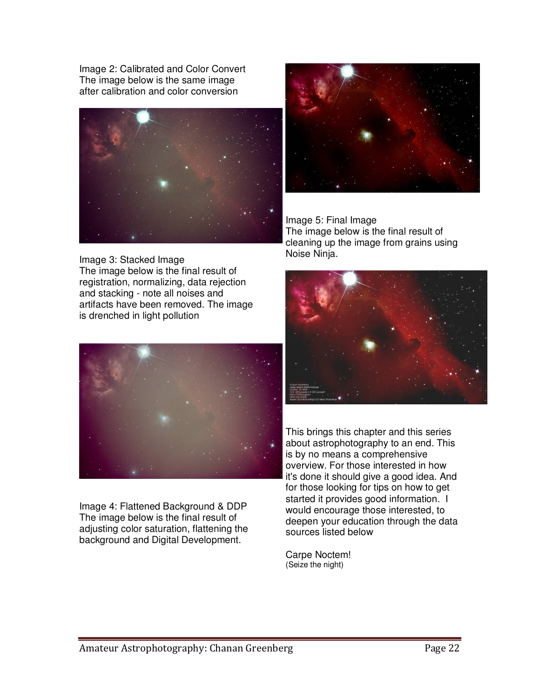Image 2: Calibrated and Color Convert The image below is the same image after calibration and color conversion



Image 3: Stacked Image The image below is the final result of registration, normalizing, data rejection and stacking - note all noises and artifacts have been removed. The image is drenched in light pollution



Image 4: Flattened Background & DDP The image below is the final result of adjusting color saturation, flattening the background and Digital Development.



Image 5: Final Image The image below is the final result of cleaning up the image from grains using Noise Ninja.



This brings this chapter and this series about astrophotography to an end. This is by no means a comprehensive overview. For those interested in how it's done it should give a good idea. And for those looking for tips on how to get started it provides good information. I would encourage those interested, to deepen your education through the data sources listed below

Carpe Noctem! (Seize the night)